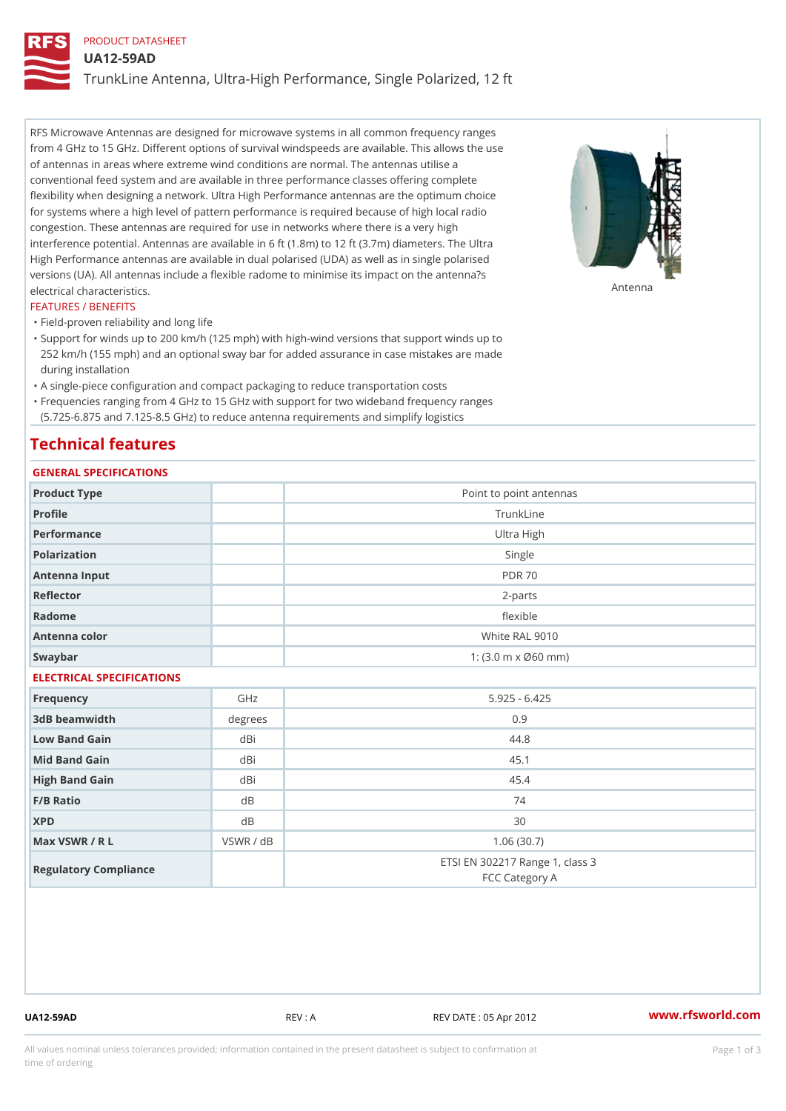## PRODUCT DATASHEET

UA12-59AD

TrunkLine Antenna, Ultra-High Performance, Single Polarized, 12 ft

RFS Microwave Antennas are designed for microwave systems in all common frequency ranges from 4 GHz to 15 GHz. Different options of survival windspeeds are available. This allows the use of antennas in areas where extreme wind conditions are normal. The antennas utilise a conventional feed system and are available in three performance classes offering complete flexibility when designing a network. Ultra High Performance antennas are the optimum choice for systems where a high level of pattern performance is required because of high local radio congestion. These antennas are required for use in networks where there is a very high interference potential. Antennas are available in 6 ft (1.8m) to 12 ft (3.7m) diameters. The Ultra High Performance antennas are available in dual polarised (UDA) as well as in single polarised versions (UA). All antennas include a flexible radome to minimise its impact on the antenna?s electrical characteristics. Antenna

### FEATURES / BENEFITS

"Field-proven reliability and long life

- Support for winds up to 200 km/h (125 mph) with high-wind versions that support winds up to " 252 km/h (155 mph) and an optional sway bar for added assurance in case mistakes are made during installation
- "A single-piece configuration and compact packaging to reduce transportation costs
- Frequencies ranging from 4 GHz to 15 GHz with support for two wideband frequency ranges "
- (5.725-6.875 and 7.125-8.5 GHz) to reduce antenna requirements and simplify logistics

## Technical features

# GENERAL SPECIFICATIONS

| GENERAL SELGIFICATIONS    |           |                                                   |  |  |  |
|---------------------------|-----------|---------------------------------------------------|--|--|--|
| Product Type              |           | Point to point antennas                           |  |  |  |
| Profile                   |           | TrunkLine                                         |  |  |  |
| Performance               |           | Ultra High                                        |  |  |  |
| Polarization              |           | Single                                            |  |  |  |
| Antenna Input             |           | <b>PDR 70</b>                                     |  |  |  |
| Reflector                 |           | $2 - p$ arts                                      |  |  |  |
| Radome                    |           | flexible                                          |  |  |  |
| Antenna color             |           | White RAL 9010                                    |  |  |  |
| Swaybar                   |           | 1: $(3.0 m \times 060 mm)$                        |  |  |  |
| ELECTRICAL SPECIFICATIONS |           |                                                   |  |  |  |
| Frequency                 | GHz       | $5.925 - 6.425$                                   |  |  |  |
| 3dB beamwidth             | degrees   | 0.9                                               |  |  |  |
| Low Band Gain             | dBi       | 44.8                                              |  |  |  |
| Mid Band Gain             | dBi       | 45.1                                              |  |  |  |
| High Band Gain            | dBi       | 45.4                                              |  |  |  |
| F/B Ratio                 | d B       | 74                                                |  |  |  |
| <b>XPD</b>                | d B       | 30                                                |  |  |  |
| Max VSWR / R L            | VSWR / dB | 1.06(30.7)                                        |  |  |  |
| Regulatory Compliance     |           | ETSI EN 302217 Range 1, class 3<br>FCC Category A |  |  |  |

UA12-59AD REV : A REV DATE : 05 Apr 2012 [www.](https://www.rfsworld.com)rfsworld.com

All values nominal unless tolerances provided; information contained in the present datasheet is subject to Pcapgeign mation time of ordering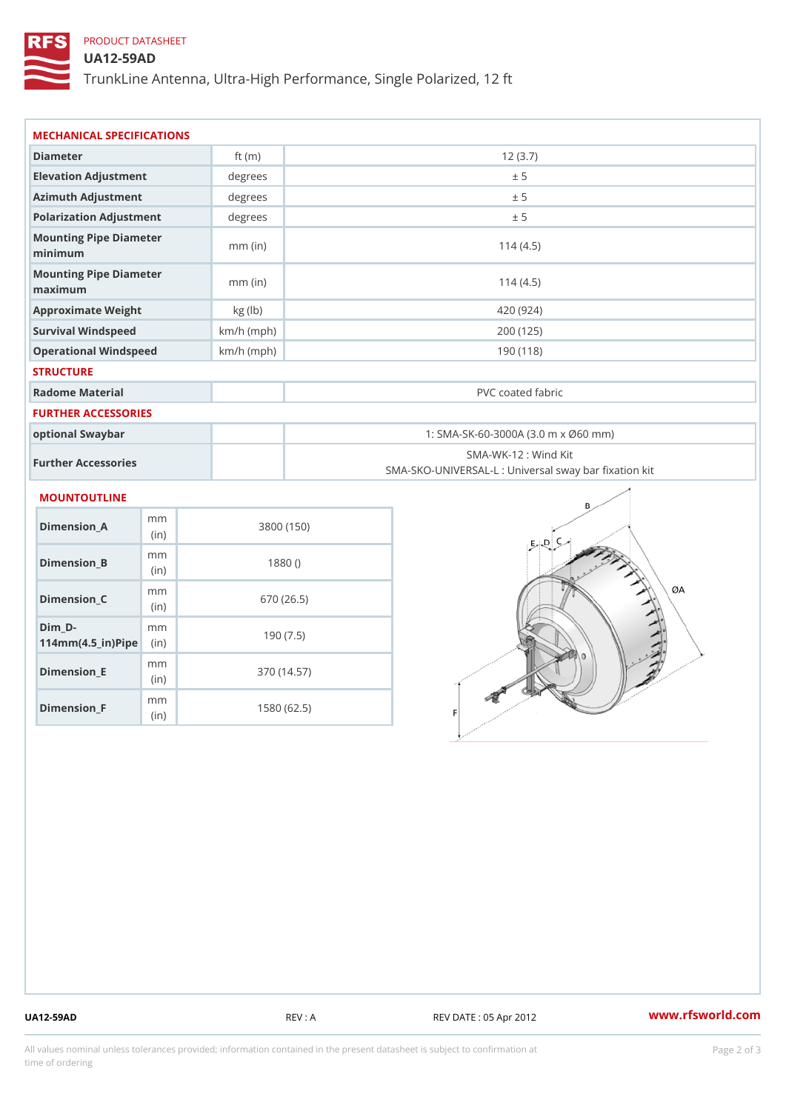# PRODUCT DATASHEET

## UA12-59AD

TrunkLine Antenna, Ultra-High Performance, Single Polarized, 12 ft

| MECHANICAL SPECIFICATIONS                                                       |              |                                                                           |  |  |
|---------------------------------------------------------------------------------|--------------|---------------------------------------------------------------------------|--|--|
| Diameter                                                                        | ft $(m)$     | 12(3.7)                                                                   |  |  |
| Elevation Adjustment                                                            | degrees      | ± 5                                                                       |  |  |
| Azimuth Adjustment                                                              | degrees      | ± 5                                                                       |  |  |
| Polarization Adjustment                                                         | degrees      | ± 5                                                                       |  |  |
| Mounting Pipe Diameter<br>minimum                                               | $mm$ (in)    | 114(4.5)                                                                  |  |  |
| Mounting Pipe Diameter<br>maximum                                               | $mm$ (in)    | 114(4.5)                                                                  |  |  |
| Approximate Weight                                                              | kg (lb)      | 420 (924)                                                                 |  |  |
| Survival Windspeed                                                              | $km/h$ (mph) | 200 (125)                                                                 |  |  |
| Operational Windspeed                                                           | $km/h$ (mph) | 190 (118)                                                                 |  |  |
| <b>STRUCTURE</b>                                                                |              |                                                                           |  |  |
| Radome Material                                                                 |              | PVC coated fabric                                                         |  |  |
| FURTHER ACCESSORIES                                                             |              |                                                                           |  |  |
| optional Swaybar                                                                |              | 1: SMA-SK-60-3000A (3.0 m x Ø60 mm)                                       |  |  |
| Further Accessories                                                             |              | SMA-WK-12 : Wind Kit<br>SMA-SKO-UNIVERSAL-L : Universal sway bar fixation |  |  |
| <b>MOUNTOUTLINE</b>                                                             |              |                                                                           |  |  |
| m m<br>Dimension_A<br>(in)                                                      |              | 3800 (150)                                                                |  |  |
| m m<br>$Dimension_B$<br>(in)                                                    |              | 1880()                                                                    |  |  |
| m m<br>Dimension_C<br>(in)                                                      |              | 670 (26.5)                                                                |  |  |
| $Dim_D - D -$<br>m m<br>$114$ m m (4.5 _ ir ) $\sqrt{$ im $\cdot$ $\Rightarrow$ |              | 190(7.5)                                                                  |  |  |
| m m<br><b>Brand Controller</b>                                                  |              | 07011177                                                                  |  |  |

Dimension\_E

Dimension\_F

(in)

m<sub>m</sub> (in)

370 (14.57)

1580 (62.5)

UA12-59AD REV : A REV DATE : 05 Apr 2012 [www.](https://www.rfsworld.com)rfsworld.com